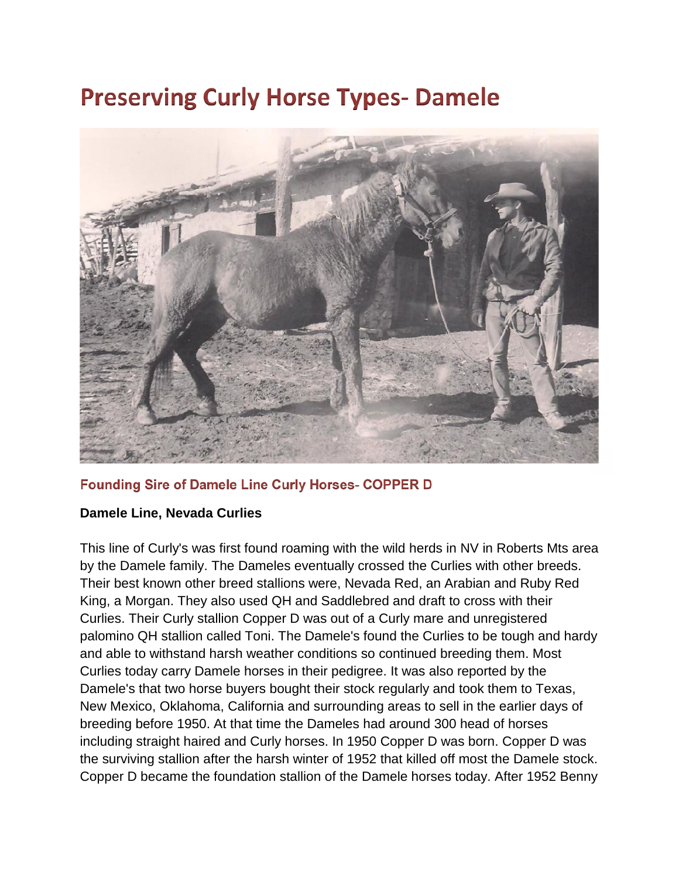## **Preserving Curly Horse Types- Damele**



## **Founding Sire of Damele Line Curly Horses- COPPER D**

## **Damele Line, Nevada Curlies**

This line of Curly's was first found roaming with the wild herds in NV in Roberts Mts area by the Damele family. The Dameles eventually crossed the Curlies with other breeds. Their best known other breed stallions were, Nevada Red, an Arabian and Ruby Red King, a Morgan. They also used QH and Saddlebred and draft to cross with their Curlies. Their Curly stallion Copper D was out of a Curly mare and unregistered palomino QH stallion called Toni. The Damele's found the Curlies to be tough and hardy and able to withstand harsh weather conditions so continued breeding them. Most Curlies today carry Damele horses in their pedigree. It was also reported by the Damele's that two horse buyers bought their stock regularly and took them to Texas, New Mexico, Oklahoma, California and surrounding areas to sell in the earlier days of breeding before 1950. At that time the Dameles had around 300 head of horses including straight haired and Curly horses. In 1950 Copper D was born. Copper D was the surviving stallion after the harsh winter of 1952 that killed off most the Damele stock. Copper D became the foundation stallion of the Damele horses today. After 1952 Benny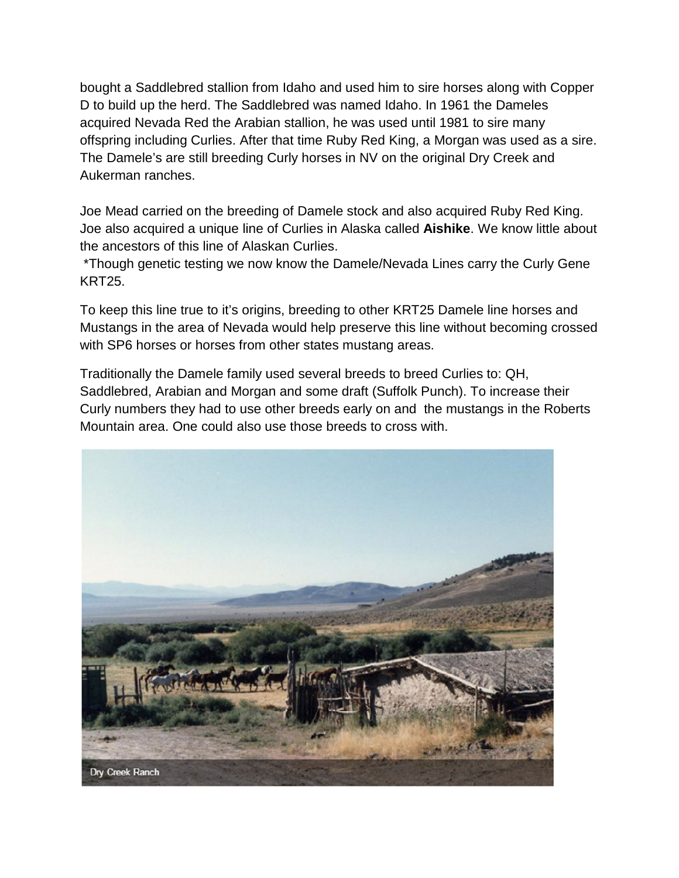bought a Saddlebred stallion from Idaho and used him to sire horses along with Copper D to build up the herd. The Saddlebred was named Idaho. In 1961 the Dameles acquired Nevada Red the Arabian stallion, he was used until 1981 to sire many offspring including Curlies. After that time Ruby Red King, a Morgan was used as a sire. The Damele's are still breeding Curly horses in NV on the original Dry Creek and Aukerman ranches.

Joe Mead carried on the breeding of Damele stock and also acquired Ruby Red King. Joe also acquired a unique line of Curlies in Alaska called **Aishike**. We know little about the ancestors of this line of Alaskan Curlies.

\*Though genetic testing we now know the Damele/Nevada Lines carry the Curly Gene KRT25.

To keep this line true to it's origins, breeding to other KRT25 Damele line horses and Mustangs in the area of Nevada would help preserve this line without becoming crossed with SP6 horses or horses from other states mustang areas.

Traditionally the Damele family used several breeds to breed Curlies to: QH, Saddlebred, Arabian and Morgan and some draft (Suffolk Punch). To increase their Curly numbers they had to use other breeds early on and the mustangs in the Roberts Mountain area. One could also use those breeds to cross with.